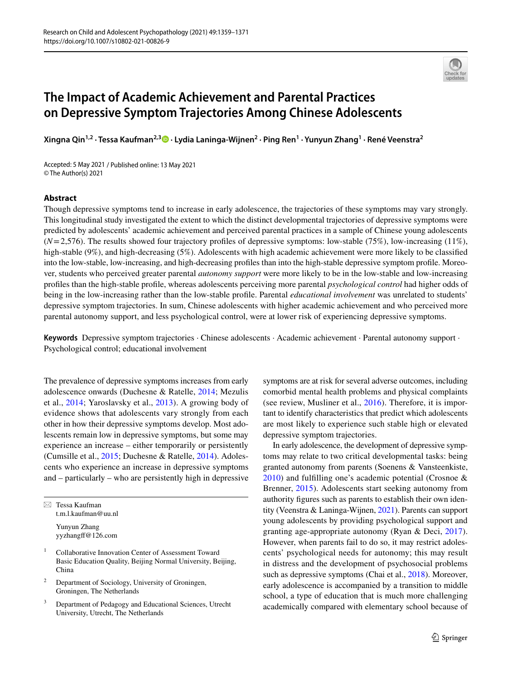

# **The Impact of Academic Achievement and Parental Practices on Depressive Symptom Trajectories Among Chinese Adolescents**

**Xingna Qin1,2 · Tessa Kaufman2,3  [·](http://orcid.org/0000-0003-0191-953X) Lydia Laninga‑Wijnen2 · Ping Ren1 · Yunyun Zhang1 · René Veenstra2**

Accepted: 5 May 2021 / Published online: 13 May 2021 © The Author(s) 2021

#### **Abstract**

Though depressive symptoms tend to increase in early adolescence, the trajectories of these symptoms may vary strongly. This longitudinal study investigated the extent to which the distinct developmental trajectories of depressive symptoms were predicted by adolescents' academic achievement and perceived parental practices in a sample of Chinese young adolescents (*N*=2,576). The results showed four trajectory profles of depressive symptoms: low-stable (75%), low-increasing (11%), high-stable (9%), and high-decreasing (5%). Adolescents with high academic achievement were more likely to be classified into the low-stable, low-increasing, and high-decreasing profles than into the high-stable depressive symptom profle. Moreover, students who perceived greater parental *autonomy support* were more likely to be in the low-stable and low-increasing profles than the high-stable profle, whereas adolescents perceiving more parental *psychological control* had higher odds of being in the low-increasing rather than the low-stable profle. Parental *educational involvement* was unrelated to students' depressive symptom trajectories. In sum, Chinese adolescents with higher academic achievement and who perceived more parental autonomy support, and less psychological control, were at lower risk of experiencing depressive symptoms.

**Keywords** Depressive symptom trajectories · Chinese adolescents · Academic achievement · Parental autonomy support · Psychological control; educational involvement

The prevalence of depressive symptoms increases from early adolescence onwards (Duchesne & Ratelle, [2014;](#page-11-0) Mezulis et al., [2014](#page-12-0); Yaroslavsky et al., [2013\)](#page-12-1). A growing body of evidence shows that adolescents vary strongly from each other in how their depressive symptoms develop. Most adolescents remain low in depressive symptoms, but some may experience an increase – either temporarily or persistently (Cumsille et al., [2015;](#page-11-1) Duchesne & Ratelle, [2014](#page-11-0)). Adolescents who experience an increase in depressive symptoms and – particularly – who are persistently high in depressive

 $\boxtimes$  Tessa Kaufman t.m.l.kaufman@uu.nl Yunyun Zhang yyzhangf@126.com

- <sup>1</sup> Collaborative Innovation Center of Assessment Toward Basic Education Quality, Beijing Normal University, Beijing, China
- <sup>2</sup> Department of Sociology, University of Groningen, Groningen, The Netherlands
- <sup>3</sup> Department of Pedagogy and Educational Sciences, Utrecht University, Utrecht, The Netherlands

symptoms are at risk for several adverse outcomes, including comorbid mental health problems and physical complaints (see review, Musliner et al., [2016](#page-12-2)). Therefore, it is important to identify characteristics that predict which adolescents are most likely to experience such stable high or elevated depressive symptom trajectories.

In early adolescence, the development of depressive symptoms may relate to two critical developmental tasks: being granted autonomy from parents (Soenens & Vansteenkiste, [2010\)](#page-12-3) and fulflling one's academic potential (Crosnoe & Brenner, [2015\)](#page-11-2). Adolescents start seeking autonomy from authority fgures such as parents to establish their own identity (Veenstra & Laninga-Wijnen, [2021](#page-12-4)). Parents can support young adolescents by providing psychological support and granting age-appropriate autonomy (Ryan & Deci, [2017](#page-12-5)). However, when parents fail to do so, it may restrict adolescents' psychological needs for autonomy; this may result in distress and the development of psychosocial problems such as depressive symptoms (Chai et al., [2018\)](#page-11-3). Moreover, early adolescence is accompanied by a transition to middle school, a type of education that is much more challenging academically compared with elementary school because of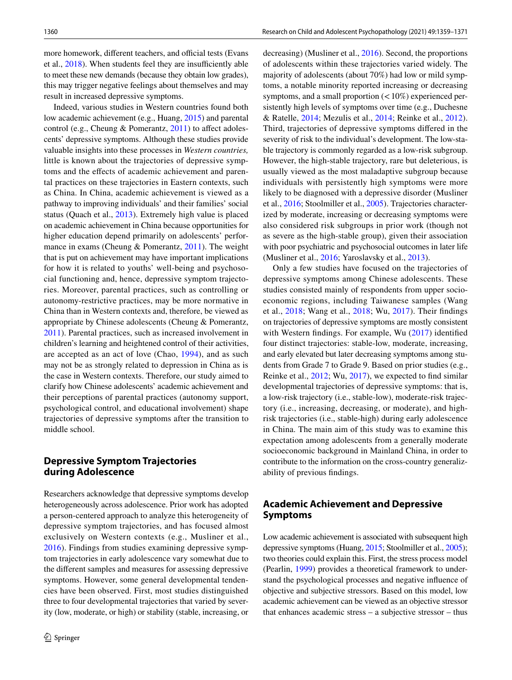more homework, different teachers, and official tests (Evans et al.,  $2018$ ). When students feel they are insufficiently able to meet these new demands (because they obtain low grades), this may trigger negative feelings about themselves and may result in increased depressive symptoms.

Indeed, various studies in Western countries found both low academic achievement (e.g., Huang, [2015](#page-11-5)) and parental control (e.g., Cheung & Pomerantz,  $2011$ ) to affect adolescents' depressive symptoms. Although these studies provide valuable insights into these processes in *Western countries,* little is known about the trajectories of depressive symptoms and the efects of academic achievement and parental practices on these trajectories in Eastern contexts, such as China. In China, academic achievement is viewed as a pathway to improving individuals' and their families' social status (Quach et al., [2013\)](#page-12-6). Extremely high value is placed on academic achievement in China because opportunities for higher education depend primarily on adolescents' performance in exams (Cheung & Pomerantz, [2011\)](#page-11-6). The weight that is put on achievement may have important implications for how it is related to youths' well-being and psychosocial functioning and, hence, depressive symptom trajectories. Moreover, parental practices, such as controlling or autonomy-restrictive practices, may be more normative in China than in Western contexts and, therefore, be viewed as appropriate by Chinese adolescents (Cheung & Pomerantz, [2011](#page-11-6)). Parental practices, such as increased involvement in children's learning and heightened control of their activities, are accepted as an act of love (Chao, [1994](#page-11-7)), and as such may not be as strongly related to depression in China as is the case in Western contexts. Therefore, our study aimed to clarify how Chinese adolescents' academic achievement and their perceptions of parental practices (autonomy support, psychological control, and educational involvement) shape trajectories of depressive symptoms after the transition to middle school.

#### **Depressive Symptom Trajectories during Adolescence**

Researchers acknowledge that depressive symptoms develop heterogeneously across adolescence. Prior work has adopted a person-centered approach to analyze this heterogeneity of depressive symptom trajectories, and has focused almost exclusively on Western contexts (e.g., Musliner et al., [2016](#page-12-2)). Findings from studies examining depressive symptom trajectories in early adolescence vary somewhat due to the diferent samples and measures for assessing depressive symptoms. However, some general developmental tendencies have been observed. First, most studies distinguished three to four developmental trajectories that varied by severity (low, moderate, or high) or stability (stable, increasing, or decreasing) (Musliner et al., [2016\)](#page-12-2). Second, the proportions of adolescents within these trajectories varied widely. The majority of adolescents (about 70%) had low or mild symptoms, a notable minority reported increasing or decreasing symptoms, and a small proportion  $\left($  < 10%) experienced persistently high levels of symptoms over time (e.g., Duchesne & Ratelle, [2014;](#page-11-0) Mezulis et al., [2014;](#page-12-0) Reinke et al., [2012](#page-12-7)). Third, trajectories of depressive symptoms difered in the severity of risk to the individual's development. The low-stable trajectory is commonly regarded as a low-risk subgroup. However, the high-stable trajectory, rare but deleterious, is usually viewed as the most maladaptive subgroup because individuals with persistently high symptoms were more likely to be diagnosed with a depressive disorder (Musliner et al., [2016](#page-12-2); Stoolmiller et al., [2005\)](#page-12-8). Trajectories characterized by moderate, increasing or decreasing symptoms were also considered risk subgroups in prior work (though not as severe as the high-stable group), given their association with poor psychiatric and psychosocial outcomes in later life (Musliner et al., [2016](#page-12-2); Yaroslavsky et al., [2013\)](#page-12-1).

Only a few studies have focused on the trajectories of depressive symptoms among Chinese adolescents. These studies consisted mainly of respondents from upper socioeconomic regions, including Taiwanese samples (Wang et al., [2018](#page-12-9); Wang et al., [2018](#page-12-10); Wu, [2017](#page-12-11)). Their fndings on trajectories of depressive symptoms are mostly consistent with Western findings. For example, Wu ([2017](#page-12-11)) identified four distinct trajectories: stable-low, moderate, increasing, and early elevated but later decreasing symptoms among students from Grade 7 to Grade 9. Based on prior studies (e.g., Reinke et al., [2012;](#page-12-7) Wu, [2017\)](#page-12-11), we expected to fnd similar developmental trajectories of depressive symptoms: that is, a low-risk trajectory (i.e., stable-low), moderate-risk trajectory (i.e., increasing, decreasing, or moderate), and highrisk trajectories (i.e., stable-high) during early adolescence in China. The main aim of this study was to examine this expectation among adolescents from a generally moderate socioeconomic background in Mainland China, in order to contribute to the information on the cross-country generalizability of previous fndings.

### **Academic Achievement and Depressive Symptoms**

Low academic achievement is associated with subsequent high depressive symptoms (Huang, [2015;](#page-11-5) Stoolmiller et al., [2005](#page-12-8)); two theories could explain this. First, the stress process model (Pearlin, [1999\)](#page-12-12) provides a theoretical framework to understand the psychological processes and negative infuence of objective and subjective stressors. Based on this model, low academic achievement can be viewed as an objective stressor that enhances academic stress – a subjective stressor – thus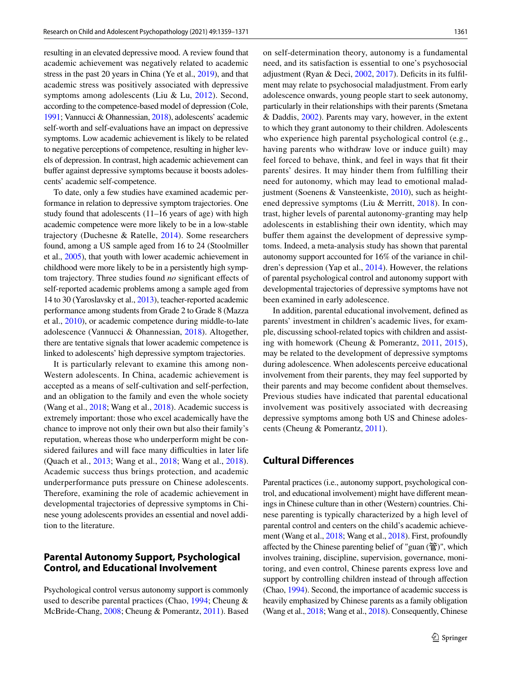resulting in an elevated depressive mood. A review found that academic achievement was negatively related to academic stress in the past 20 years in China (Ye et al., [2019](#page-12-13)), and that academic stress was positively associated with depressive symptoms among adolescents (Liu & Lu, [2012](#page-12-14)). Second, according to the competence-based model of depression (Cole, [1991](#page-11-8); Vannucci & Ohannessian, [2018\)](#page-12-15), adolescents' academic self-worth and self-evaluations have an impact on depressive symptoms. Low academic achievement is likely to be related to negative perceptions of competence, resulting in higher levels of depression. In contrast, high academic achievement can buffer against depressive symptoms because it boosts adolescents' academic self-competence.

To date, only a few studies have examined academic performance in relation to depressive symptom trajectories. One study found that adolescents (11–16 years of age) with high academic competence were more likely to be in a low-stable trajectory (Duchesne & Ratelle, [2014](#page-11-0)). Some researchers found, among a US sample aged from 16 to 24 (Stoolmiller et al., [2005\)](#page-12-8), that youth with lower academic achievement in childhood were more likely to be in a persistently high symptom trajectory. Three studies found *no* signifcant efects of self-reported academic problems among a sample aged from 14 to 30 (Yaroslavsky et al., [2013](#page-12-1)), teacher-reported academic performance among students from Grade 2 to Grade 8 (Mazza et al., [2010](#page-12-16)), or academic competence during middle-to-late adolescence (Vannucci & Ohannessian, [2018](#page-12-15)). Altogether, there are tentative signals that lower academic competence is linked to adolescents' high depressive symptom trajectories.

It is particularly relevant to examine this among non-Western adolescents. In China, academic achievement is accepted as a means of self-cultivation and self-perfection, and an obligation to the family and even the whole society (Wang et al., [2018](#page-12-9); Wang et al., [2018\)](#page-12-10). Academic success is extremely important: those who excel academically have the chance to improve not only their own but also their family's reputation, whereas those who underperform might be considered failures and will face many difficulties in later life (Quach et al., [2013;](#page-12-6) Wang et al., [2018](#page-12-9); Wang et al., [2018](#page-12-10)). Academic success thus brings protection, and academic underperformance puts pressure on Chinese adolescents. Therefore, examining the role of academic achievement in developmental trajectories of depressive symptoms in Chinese young adolescents provides an essential and novel addition to the literature.

### **Parental Autonomy Support, Psychological Control, and Educational Involvement**

Psychological control versus autonomy support is commonly used to describe parental practices (Chao, [1994](#page-11-7); Cheung & McBride-Chang, [2008;](#page-11-9) Cheung & Pomerantz, [2011\)](#page-11-6). Based on self-determination theory, autonomy is a fundamental need, and its satisfaction is essential to one's psychosocial adjustment (Ryan & Deci, [2002,](#page-12-17) [2017\)](#page-12-5). Deficits in its fulfilment may relate to psychosocial maladjustment. From early adolescence onwards, young people start to seek autonomy, particularly in their relationships with their parents (Smetana & Daddis, [2002\)](#page-12-18). Parents may vary, however, in the extent to which they grant autonomy to their children. Adolescents who experience high parental psychological control (e.g., having parents who withdraw love or induce guilt) may feel forced to behave, think, and feel in ways that ft their parents' desires. It may hinder them from fulflling their need for autonomy, which may lead to emotional maladjustment (Soenens & Vansteenkiste, [2010\)](#page-12-3), such as heightened depressive symptoms (Liu & Merritt, [2018\)](#page-12-19). In contrast, higher levels of parental autonomy-granting may help adolescents in establishing their own identity, which may bufer them against the development of depressive symptoms. Indeed, a meta-analysis study has shown that parental autonomy support accounted for 16% of the variance in children's depression (Yap et al., [2014](#page-12-20)). However, the relations of parental psychological control and autonomy support with developmental trajectories of depressive symptoms have not been examined in early adolescence.

In addition, parental educational involvement, defned as parents' investment in children's academic lives, for example, discussing school-related topics with children and assisting with homework (Cheung & Pomerantz, [2011,](#page-11-6) [2015](#page-11-10)), may be related to the development of depressive symptoms during adolescence. When adolescents perceive educational involvement from their parents, they may feel supported by their parents and may become confdent about themselves. Previous studies have indicated that parental educational involvement was positively associated with decreasing depressive symptoms among both US and Chinese adolescents (Cheung & Pomerantz, [2011](#page-11-6)).

## **Cultural Differences**

Parental practices (i.e., autonomy support, psychological control, and educational involvement) might have diferent meanings in Chinese culture than in other (Western) countries. Chinese parenting is typically characterized by a high level of parental control and centers on the child's academic achievement (Wang et al., [2018;](#page-12-9) Wang et al., [2018](#page-12-10)). First, profoundly afected by the Chinese parenting belief of "guan (管)", which involves training, discipline, supervision, governance, monitoring, and even control, Chinese parents express love and support by controlling children instead of through afection (Chao, [1994](#page-11-7)). Second, the importance of academic success is heavily emphasized by Chinese parents as a family obligation (Wang et al., [2018](#page-12-9); Wang et al., [2018](#page-12-10)). Consequently, Chinese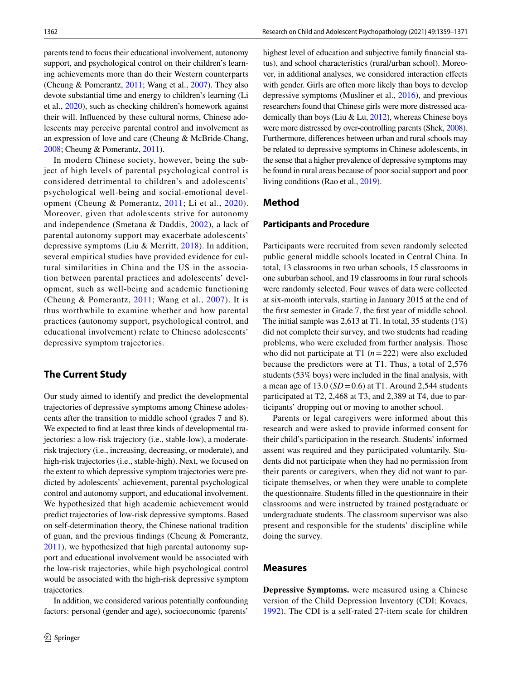parents tend to focus their educational involvement, autonomy support, and psychological control on their children's learning achievements more than do their Western counterparts (Cheung & Pomerantz, [2011;](#page-11-6) Wang et al., [2007\)](#page-12-21). They also devote substantial time and energy to children's learning (Li et al., [2020\)](#page-11-11), such as checking children's homework against their will. Infuenced by these cultural norms, Chinese adolescents may perceive parental control and involvement as an expression of love and care (Cheung & McBride-Chang, [2008;](#page-11-9) Cheung & Pomerantz, [2011\)](#page-11-6).

In modern Chinese society, however, being the subject of high levels of parental psychological control is considered detrimental to children's and adolescents' psychological well-being and social-emotional development (Cheung & Pomerantz, [2011](#page-11-6); Li et al., [2020\)](#page-11-11). Moreover, given that adolescents strive for autonomy and independence (Smetana & Daddis, [2002\)](#page-12-18), a lack of parental autonomy support may exacerbate adolescents' depressive symptoms (Liu & Merritt, [2018\)](#page-12-19). In addition, several empirical studies have provided evidence for cultural similarities in China and the US in the association between parental practices and adolescents' development, such as well-being and academic functioning (Cheung & Pomerantz, [2011](#page-11-6); Wang et al., [2007\)](#page-12-21). It is thus worthwhile to examine whether and how parental practices (autonomy support, psychological control, and educational involvement) relate to Chinese adolescents' depressive symptom trajectories.

# **The Current Study**

Our study aimed to identify and predict the developmental trajectories of depressive symptoms among Chinese adolescents after the transition to middle school (grades 7 and 8). We expected to fnd at least three kinds of developmental trajectories: a low-risk trajectory (i.e., stable-low), a moderaterisk trajectory (i.e., increasing, decreasing, or moderate), and high-risk trajectories (i.e., stable-high). Next, we focused on the extent to which depressive symptom trajectories were predicted by adolescents' achievement, parental psychological control and autonomy support, and educational involvement. We hypothesized that high academic achievement would predict trajectories of low-risk depressive symptoms. Based on self-determination theory, the Chinese national tradition of guan, and the previous fndings (Cheung & Pomerantz, [2011](#page-11-6)), we hypothesized that high parental autonomy support and educational involvement would be associated with the low-risk trajectories, while high psychological control would be associated with the high-risk depressive symptom trajectories.

In addition, we considered various potentially confounding factors: personal (gender and age), socioeconomic (parents'

highest level of education and subjective family fnancial status), and school characteristics (rural/urban school). Moreover, in additional analyses, we considered interaction efects with gender. Girls are often more likely than boys to develop depressive symptoms (Musliner et al., [2016\)](#page-12-2), and previous researchers found that Chinese girls were more distressed academically than boys (Liu & Lu, [2012](#page-12-14)), whereas Chinese boys were more distressed by over-controlling parents (Shek, [2008\)](#page-12-22). Furthermore, diferences between urban and rural schools may be related to depressive symptoms in Chinese adolescents, in the sense that a higher prevalence of depressive symptoms may be found in rural areas because of poor social support and poor living conditions (Rao et al., [2019\)](#page-12-23).

#### **Method**

#### **Participants and Procedure**

Participants were recruited from seven randomly selected public general middle schools located in Central China. In total, 13 classrooms in two urban schools, 15 classrooms in one suburban school, and 19 classrooms in four rural schools were randomly selected. Four waves of data were collected at six-month intervals, starting in January 2015 at the end of the frst semester in Grade 7, the frst year of middle school. The initial sample was 2,613 at T1. In total, 35 students (1%) did not complete their survey, and two students had reading problems, who were excluded from further analysis. Those who did not participate at T1 (*n*=222) were also excluded because the predictors were at T1. Thus, a total of 2,576 students (53% boys) were included in the fnal analysis, with a mean age of 13.0 (*SD*=0.6) at T1. Around 2,544 students participated at T2, 2,468 at T3, and 2,389 at T4, due to participants' dropping out or moving to another school.

Parents or legal caregivers were informed about this research and were asked to provide informed consent for their child's participation in the research. Students' informed assent was required and they participated voluntarily. Students did not participate when they had no permission from their parents or caregivers, when they did not want to participate themselves, or when they were unable to complete the questionnaire. Students flled in the questionnaire in their classrooms and were instructed by trained postgraduate or undergraduate students. The classroom supervisor was also present and responsible for the students' discipline while doing the survey.

#### **Measures**

**Depressive Symptoms.** were measured using a Chinese version of the Child Depression Inventory (CDI; Kovacs, [1992\)](#page-11-12). The CDI is a self-rated 27-item scale for children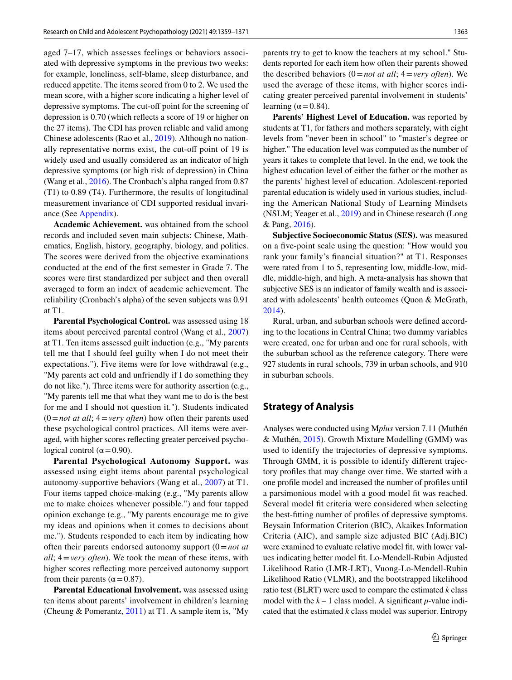aged 7–17, which assesses feelings or behaviors associated with depressive symptoms in the previous two weeks: for example, loneliness, self-blame, sleep disturbance, and reduced appetite. The items scored from 0 to 2. We used the mean score, with a higher score indicating a higher level of depressive symptoms. The cut-off point for the screening of depression is 0.70 (which refects a score of 19 or higher on the 27 items). The CDI has proven reliable and valid among Chinese adolescents (Rao et al., [2019](#page-12-23)). Although no nationally representative norms exist, the cut-off point of 19 is widely used and usually considered as an indicator of high depressive symptoms (or high risk of depression) in China (Wang et al., [2016\)](#page-12-24). The Cronbach's alpha ranged from 0.87 (T1) to 0.89 (T4). Furthermore, the results of longitudinal measurement invariance of CDI supported residual invariance (See Appendix).

**Academic Achievement.** was obtained from the school records and included seven main subjects: Chinese, Mathematics, English, history, geography, biology, and politics. The scores were derived from the objective examinations conducted at the end of the frst semester in Grade 7. The scores were frst standardized per subject and then overall averaged to form an index of academic achievement. The reliability (Cronbach's alpha) of the seven subjects was 0.91 at T1.

**Parental Psychological Control.** was assessed using 18 items about perceived parental control (Wang et al., [2007\)](#page-12-21) at T1. Ten items assessed guilt induction (e.g., "My parents tell me that I should feel guilty when I do not meet their expectations."). Five items were for love withdrawal (e.g., "My parents act cold and unfriendly if I do something they do not like."). Three items were for authority assertion (e.g., "My parents tell me that what they want me to do is the best for me and I should not question it."). Students indicated  $(0 = not at all; 4 = very often)$  how often their parents used these psychological control practices. All items were averaged, with higher scores refecting greater perceived psychological control ( $\alpha$  = 0.90).

**Parental Psychological Autonomy Support.** was assessed using eight items about parental psychological autonomy-supportive behaviors (Wang et al., [2007\)](#page-12-21) at T1. Four items tapped choice-making (e.g., "My parents allow me to make choices whenever possible.") and four tapped opinion exchange (e.g., "My parents encourage me to give my ideas and opinions when it comes to decisions about me."). Students responded to each item by indicating how often their parents endorsed autonomy support (0=*not at all*; 4=*very often*). We took the mean of these items, with higher scores refecting more perceived autonomy support from their parents ( $\alpha$  = 0.87).

**Parental Educational Involvement.** was assessed using ten items about parents' involvement in children's learning (Cheung & Pomerantz, [2011\)](#page-11-6) at T1. A sample item is, "My

parents try to get to know the teachers at my school." Students reported for each item how often their parents showed the described behaviors (0=*not at all*; 4=*very often*). We used the average of these items, with higher scores indicating greater perceived parental involvement in students' learning ( $\alpha$  = 0.84).

**Parents' Highest Level of Education.** was reported by students at T1, for fathers and mothers separately, with eight levels from "never been in school" to "master's degree or higher." The education level was computed as the number of years it takes to complete that level. In the end, we took the highest education level of either the father or the mother as the parents' highest level of education. Adolescent-reported parental education is widely used in various studies, including the American National Study of Learning Mindsets (NSLM; Yeager et al., [2019\)](#page-12-25) and in Chinese research (Long & Pang, [2016\)](#page-12-26).

**Subjective Socioeconomic Status (SES).** was measured on a fve-point scale using the question: "How would you rank your family's fnancial situation?" at T1. Responses were rated from 1 to 5, representing low, middle-low, middle, middle-high, and high. A meta-analysis has shown that subjective SES is an indicator of family wealth and is associated with adolescents' health outcomes (Quon & McGrath, [2014](#page-12-27)).

Rural, urban, and suburban schools were defned according to the locations in Central China; two dummy variables were created, one for urban and one for rural schools, with the suburban school as the reference category. There were 927 students in rural schools, 739 in urban schools, and 910 in suburban schools.

#### **Strategy of Analysis**

Analyses were conducted using M*plus* version 7.11 (Muthén & Muthén, [2015](#page-12-28)). Growth Mixture Modelling (GMM) was used to identify the trajectories of depressive symptoms. Through GMM, it is possible to identify diferent trajectory profles that may change over time. We started with a one profle model and increased the number of profles until a parsimonious model with a good model ft was reached. Several model ft criteria were considered when selecting the best-ftting number of profles of depressive symptoms. Beysain Information Criterion (BIC), Akaikes Information Criteria (AIC), and sample size adjusted BIC (Adj.BIC) were examined to evaluate relative model fit, with lower values indicating better model ft. Lo-Mendell-Rubin Adjusted Likelihood Ratio (LMR-LRT), Vuong-Lo-Mendell-Rubin Likelihood Ratio (VLMR), and the bootstrapped likelihood ratio test (BLRT) were used to compare the estimated *k* class model with the  $k - 1$  class model. A significant *p*-value indicated that the estimated *k* class model was superior. Entropy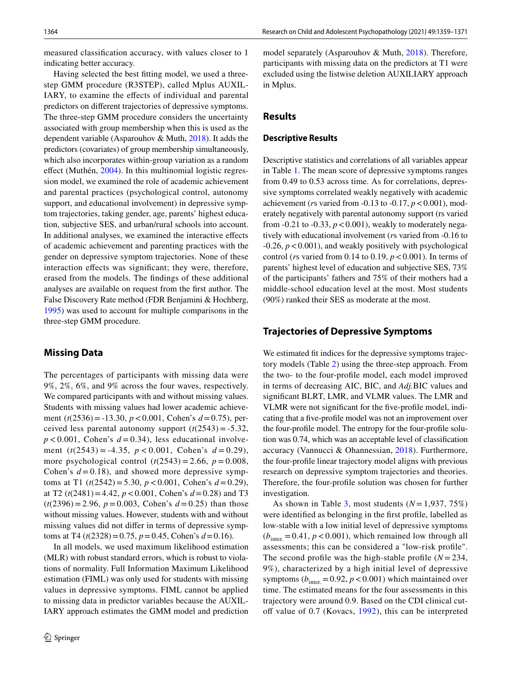measured classifcation accuracy, with values closer to 1 indicating better accuracy.

Having selected the best ftting model, we used a threestep GMM procedure (R3STEP), called Mplus AUXIL-IARY, to examine the effects of individual and parental predictors on diferent trajectories of depressive symptoms. The three-step GMM procedure considers the uncertainty associated with group membership when this is used as the dependent variable (Asparouhov & Muth, [2018\)](#page-11-13). It adds the predictors (covariates) of group membership simultaneously, which also incorporates within-group variation as a random effect (Muthén, [2004](#page-12-29)). In this multinomial logistic regression model, we examined the role of academic achievement and parental practices (psychological control, autonomy support, and educational involvement) in depressive symptom trajectories, taking gender, age, parents' highest education, subjective SES, and urban/rural schools into account. In additional analyses, we examined the interactive efects of academic achievement and parenting practices with the gender on depressive symptom trajectories. None of these interaction effects was significant; they were, therefore, erased from the models. The fndings of these additional analyses are available on request from the frst author. The False Discovery Rate method (FDR Benjamini & Hochberg, [1995](#page-11-14)) was used to account for multiple comparisons in the three-step GMM procedure.

#### **Missing Data**

The percentages of participants with missing data were 9%, 2%, 6%, and 9% across the four waves, respectively. We compared participants with and without missing values. Students with missing values had lower academic achievement (*t*(2536)=-13.30, *p*<0.001, Cohen's *d*=0.75), perceived less parental autonomy support  $(t(2543) = -5.32)$ ,  $p < 0.001$ , Cohen's  $d = 0.34$ ), less educational involvement (*t*(2543) = -4.35, *p* < 0.001, Cohen's *d* = 0.29), more psychological control  $(t(2543) = 2.66, p = 0.008,$ Cohen's  $d = 0.18$ ), and showed more depressive symptoms at T1 (*t*(2542)=5.30, *p*<0.001, Cohen's *d*=0.29), at T2  $(t(2481)=4.42, p<0.001$ , Cohen's  $d=0.28$ ) and T3  $(t(2396) = 2.96, p = 0.003, Cohen's d = 0.25)$  than those without missing values. However, students with and without missing values did not difer in terms of depressive symptoms at T4 ( $t$ (2328) = 0.75,  $p$  = 0.45, Cohen's  $d$  = 0.16).

In all models, we used maximum likelihood estimation (MLR) with robust standard errors, which is robust to violations of normality. Full Information Maximum Likelihood estimation (FIML) was only used for students with missing values in depressive symptoms. FIML cannot be applied to missing data in predictor variables because the AUXIL-IARY approach estimates the GMM model and prediction model separately (Asparouhov & Muth, [2018\)](#page-11-13). Therefore, participants with missing data on the predictors at T1 were excluded using the listwise deletion AUXILIARY approach in Mplus.

### **Results**

#### **Descriptive Results**

Descriptive statistics and correlations of all variables appear in Table [1.](#page-6-0) The mean score of depressive symptoms ranges from 0.49 to 0.53 across time. As for correlations, depressive symptoms correlated weakly negatively with academic achievement (*rs* varied from  $-0.13$  to  $-0.17$ ,  $p < 0.001$ ), moderately negatively with parental autonomy support (rs varied from  $-0.21$  to  $-0.33$ ,  $p < 0.001$ ), weakly to moderately negatively with educational involvement (*r*s varied from -0.16 to  $-0.26$ ,  $p < 0.001$ ), and weakly positively with psychological control (*rs* varied from 0.14 to 0.19,  $p < 0.001$ ). In terms of parents' highest level of education and subjective SES, 73% of the participants' fathers and 75% of their mothers had a middle-school education level at the most. Most students (90%) ranked their SES as moderate at the most.

#### **Trajectories of Depressive Symptoms**

We estimated fit indices for the depressive symptoms trajectory models (Table [2](#page-7-0)) using the three-step approach. From the two- to the four-profle model, each model improved in terms of decreasing AIC, BIC, and *Adj.*BIC values and signifcant BLRT, LMR, and VLMR values. The LMR and VLMR were not signifcant for the fve-profle model, indicating that a fve-profle model was not an improvement over the four-profle model. The entropy for the four-profle solution was 0.74, which was an acceptable level of classifcation accuracy (Vannucci & Ohannessian, [2018\)](#page-12-15). Furthermore, the four-profle linear trajectory model aligns with previous research on depressive symptom trajectories and theories. Therefore, the four-profle solution was chosen for further investigation.

As shown in Table [3,](#page-7-1) most students  $(N=1,937, 75\%)$ were identifed as belonging in the frst profle, labelled as low-stable with a low initial level of depressive symptoms  $(b<sub>inter</sub> = 0.41, p < 0.001)$ , which remained low through all assessments; this can be considered a "low-risk profle". The second profile was the high-stable profile  $(N = 234,$ 9%), characterized by a high initial level of depressive symptoms  $(b<sub>inter</sub> = 0.92, p < 0.001)$  which maintained over time. The estimated means for the four assessments in this trajectory were around 0.9. Based on the CDI clinical cutoff value of  $0.7$  (Kovacs,  $1992$ ), this can be interpreted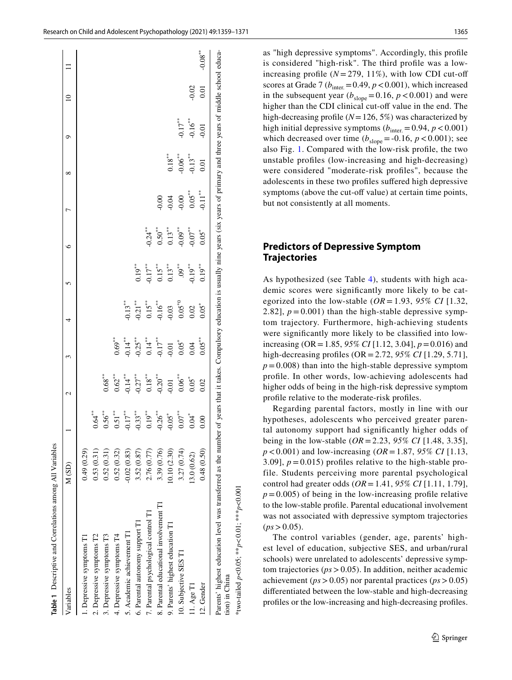| 2. Depressive symptoms T2<br>3. Depressive symptoms T3<br>1. Depressive symptoms T1 | 0.49(0.29)    |                      |                      |                        |             |                      |            |                       |                 |                       |         |            |
|-------------------------------------------------------------------------------------|---------------|----------------------|----------------------|------------------------|-------------|----------------------|------------|-----------------------|-----------------|-----------------------|---------|------------|
|                                                                                     |               |                      |                      |                        |             |                      |            |                       |                 |                       |         |            |
|                                                                                     | 0.53(0.31)    | $0.64$ <sup>**</sup> |                      |                        |             |                      |            |                       |                 |                       |         |            |
|                                                                                     | 0.52(0.31)    | $0.56***$            | $0.68***$            |                        |             |                      |            |                       |                 |                       |         |            |
| 4. Depressive symptoms T4                                                           | 0.52(0.32)    | $0.51***$            | $0.62***$            | $0.69**$               |             |                      |            |                       |                 |                       |         |            |
| 5. Academic achievement T1                                                          | $-0.02(0.83)$ | $-0.17$ **           | $0.14***$            | $0.14$ <sup>**</sup>   | $-0.13**$   |                      |            |                       |                 |                       |         |            |
| 6. Parental autonomy support T1                                                     | 3.52 (0.87)   | $-0.33***$           | $0.27$ <sup>**</sup> | $0.25***$              | $0.21***$   | $0.19$ <sup>**</sup> |            |                       |                 |                       |         |            |
| 7. Parental psychological control T1                                                | 2.76 (0.77)   | $19^{**}$<br>ö       | $0.18^{\ast\ast}$    |                        | $0.15***$   | $0.17***$            | $-0.24$ ** |                       |                 |                       |         |            |
| 8. Parental educational involvement T1                                              | 3.39 (0.76)   | $-0.26$ **           | $0.20^{**}$          | $0.14***$<br>$0.17***$ | $0.16***$   | $0.15***$            | $0.50***$  | 0.00                  |                 |                       |         |            |
| 9. Parents' highest education T1                                                    | 10.10 (2.30)  | $-0.05*$             | 0.01                 | 0.01                   | 0.03        | $0.13^{**}$          | $0.13***$  | 0.04                  | $0.18***$       |                       |         |            |
| 10. Subjective SES T1                                                               | 3.27(0.74)    | $\sigma^*$           | $0.06***$            | $0.05$ <sup>*</sup>    | $0.05^{*0}$ | $.09$ **             | $-0.09**$  | $-0.00$               | $-0.06$ $^{**}$ | $-0.17$ <sup>**</sup> |         |            |
| 11. Age T1                                                                          | 13.0 (0.62)   | ั้ช                  | $0.05*$              | 0.04                   | 0.02        | $0.19***$            | $-0.07***$ | $0.05***$             |                 | $-0.16$ <sup>**</sup> | $-0.02$ |            |
| 12. Gender                                                                          | 0.48(0.50)    | 0.00                 | 0.02                 | $0.05***$              | $0.05*$     | $0.19***$            | $0.05*$    | $-0.11$ <sup>**</sup> | 0.01            | $-0.01$               | 0.01    | $-0.08***$ |
|                                                                                     |               |                      |                      |                        |             |                      |            |                       | $-0.13***$      |                       |         |            |

as "high depressive symptoms". Accordingly, this profle is considered "high-risk". The third profle was a lowincreasing profile  $(N = 279, 11\%)$ , with low CDI cut-off scores at Grade 7 ( $b<sub>inter</sub> = 0.49$ ,  $p < 0.001$ ), which increased in the subsequent year  $(b_{\text{slope}}=0.16, p<0.001)$  and were higher than the CDI clinical cut-off value in the end. The high-decreasing profle (*N*=126, 5%) was characterized by high initial depressive symptoms  $(b<sub>inter</sub> = 0.94, p < 0.001)$ which decreased over time  $(b_{slope} = -0.16, p < 0.001)$ ; see also Fig. [1](#page-8-0). Compared with the low-risk profle, the two unstable profles (low-increasing and high-decreasing) were considered "moderate-risk profles", because the adolescents in these two profles sufered high depressive symptoms (above the cut-off value) at certain time points, but not consistently at all moments.

### **Predictors of Depressive Symptom Trajectories**

As hypothesized (see Table [4\)](#page-9-0), students with high academic scores were signifcantly more likely to be categorized into the low-stable  $(OR = 1.93, 95\% \text{ CI} [1.32,$ 2.82],  $p = 0.001$ ) than the high-stable depressive symptom trajectory. Furthermore, high-achieving students were signifcantly more likely to be classifed into lowincreasing (OR=1.85, *95% CI* [1.12, 3.04], *p*=0.016) and high-decreasing profles (OR=2.72, *95% CI* [1.29, 5.71],  $p = 0.008$ ) than into the high-stable depressive symptom profle. In other words, low-achieving adolescents had higher odds of being in the high-risk depressive symptom profle relative to the moderate-risk profles.

Regarding parental factors, mostly in line with our hypotheses, adolescents who perceived greater parental autonomy support had signifcantly higher odds of being in the low-stable (*OR*=2.23, *95% CI* [1.48, 3.35], *p*<0.001) and low-increasing (*OR*=1.87, *95% CI* [1.13, 3.09],  $p = 0.015$ ) profiles relative to the high-stable profile. Students perceiving more parental psychological control had greater odds (*OR*=1.41, *95% CI* [1.11, 1.79],  $p = 0.005$ ) of being in the low-increasing profile relative to the low-stable profle. Parental educational involvement was not associated with depressive symptom trajectories  $(ps > 0.05)$ .

<span id="page-6-0"></span>The control variables (gender, age, parents' highest level of education, subjective SES, and urban/rural schools) were unrelated to adolescents' depressive symptom trajectories (*ps*>0.05). In addition, neither academic achievement (*ps*>0.05) nor parental practices (*ps*>0.05) diferentiated between the low-stable and high-decreasing profles or the low-increasing and high-decreasing profles.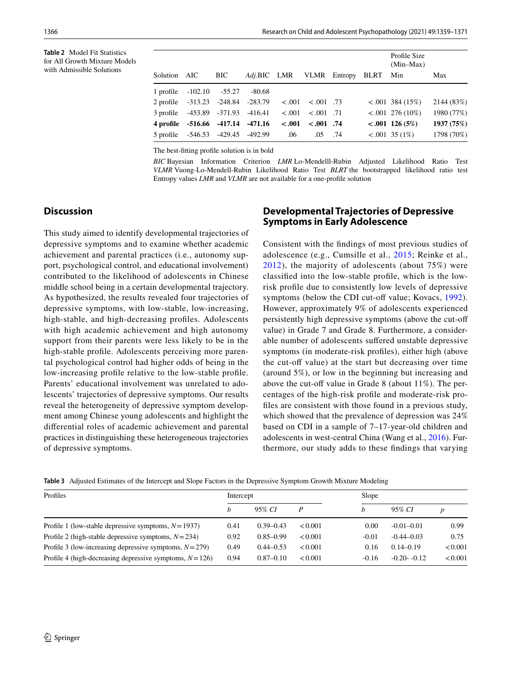<span id="page-7-0"></span>**Table 2** Model Fit Statistics for All Growth Mixture Models with Admissible Solutions

|                                   |                           |      |         |        |                       |                               | Profile Size<br>$(Min-Max)$ |            |
|-----------------------------------|---------------------------|------|---------|--------|-----------------------|-------------------------------|-----------------------------|------------|
| Solution AIC                      |                           | BIC. |         |        |                       | Adj.BIC LMR VLMR Entropy BLRT | Min                         | Max        |
| 1 profile $-102.10 - 55.27$       |                           |      | -80.68  |        |                       |                               |                             |            |
| 2 profile -313.23 -248.84 -283.79 |                           |      |         | < .001 | $< 0.001$ .73         |                               | $\leq 0.001$ 384 (15%)      | 2144 (83%) |
| 3 profile -453.89 -371.93 -416.41 |                           |      |         | < .001 | $< 0.001$ .71         |                               | $< .001$ 276 (10%)          | 1980 (77%) |
|                                   | 4 profile -516.66 -417.14 |      | -471.16 |        | $< .001$ $< .001$ .74 |                               | $< .001$ 126 (5%)           | 1937 (75%) |
| 5 profile -546.53 -429.45 -492.99 |                           |      |         | .06    | .05                   | .74                           | $< .001$ 35 (1%)            | 1798 (70%) |

The best-ftting profle solution is in bold

*BIC* Bayesian Information Criterion *LMR* Lo-Mendelll-Rubin Adjusted Likelihood Ratio Test *VLMR* Vuong-Lo-Mendell-Rubin Likelihood Ratio Test *BLRT* the bootstrapped likelihood ratio test Entropy values *LMR* and *VLMR* are not available for a one-profle solution

### **Discussion**

This study aimed to identify developmental trajectories of depressive symptoms and to examine whether academic achievement and parental practices (i.e., autonomy support, psychological control, and educational involvement) contributed to the likelihood of adolescents in Chinese middle school being in a certain developmental trajectory. As hypothesized, the results revealed four trajectories of depressive symptoms, with low-stable, low-increasing, high-stable, and high-decreasing profles. Adolescents with high academic achievement and high autonomy support from their parents were less likely to be in the high-stable profle. Adolescents perceiving more parental psychological control had higher odds of being in the low-increasing profle relative to the low-stable profle. Parents' educational involvement was unrelated to adolescents' trajectories of depressive symptoms. Our results reveal the heterogeneity of depressive symptom development among Chinese young adolescents and highlight the diferential roles of academic achievement and parental practices in distinguishing these heterogeneous trajectories of depressive symptoms.

### **Developmental Trajectories of Depressive Symptoms in Early Adolescence**

Consistent with the fndings of most previous studies of adolescence (e.g., Cumsille et al., [2015;](#page-11-1) Reinke et al., [2012\)](#page-12-7), the majority of adolescents (about 75%) were classifed into the low-stable profle, which is the lowrisk profle due to consistently low levels of depressive symptoms (below the CDI cut-off value; Kovacs, [1992](#page-11-12)). However, approximately 9% of adolescents experienced persistently high depressive symptoms (above the cut-of value) in Grade 7 and Grade 8. Furthermore, a considerable number of adolescents sufered unstable depressive symptoms (in moderate-risk profles), either high (above the cut-off value) at the start but decreasing over time (around 5%), or low in the beginning but increasing and above the cut-off value in Grade 8 (about  $11\%$ ). The percentages of the high-risk profle and moderate-risk profles are consistent with those found in a previous study, which showed that the prevalence of depression was 24% based on CDI in a sample of 7–17-year-old children and adolescents in west-central China (Wang et al., [2016\)](#page-12-24). Furthermore, our study adds to these fndings that varying

<span id="page-7-1"></span>**Table 3** Adjusted Estimates of the Intercept and Slope Factors in the Depressive Symptom Growth Mixture Modeling

| Profiles                                                    | Intercept |               |         | Slope   |                |         |
|-------------------------------------------------------------|-----------|---------------|---------|---------|----------------|---------|
|                                                             |           | 95% CI        |         | h       | 95% CI         | D       |
| Profile 1 (low-stable depressive symptoms, $N = 1937$ )     | 0.41      | $0.39 - 0.43$ | < 0.001 | 0.00    | $-0.01 - 0.01$ | 0.99    |
| Profile 2 (high-stable depressive symptoms, $N = 234$ )     | 0.92      | $0.85 - 0.99$ | < 0.001 | $-0.01$ | $-0.44 - 0.03$ | 0.75    |
| Profile 3 (low-increasing depressive symptoms, $N = 279$ )  | 0.49      | $0.44 - 0.53$ | < 0.001 | 0.16    | $0.14 - 0.19$  | < 0.001 |
| Profile 4 (high-decreasing depressive symptoms, $N = 126$ ) | 0.94      | $0.87 - 0.10$ | < 0.001 | $-0.16$ | $-0.20 - 0.12$ | < 0.001 |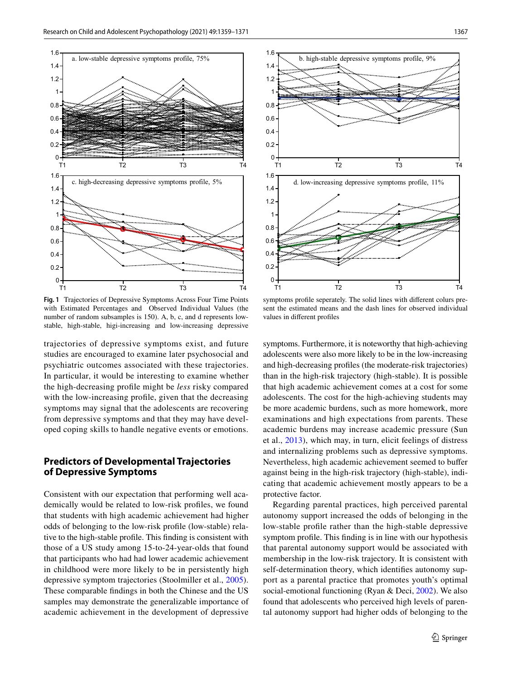

<span id="page-8-0"></span>**Fig. 1** Trajectories of Depressive Symptoms Across Four Time Points with Estimated Percentages and Observed Individual Values (the number of random subsamples is 150). A, b, c, and d represents lowstable, high-stable, higi-increasing and low-increasing depressive

trajectories of depressive symptoms exist, and future studies are encouraged to examine later psychosocial and psychiatric outcomes associated with these trajectories. In particular, it would be interesting to examine whether the high-decreasing profle might be *less* risky compared with the low-increasing profle, given that the decreasing symptoms may signal that the adolescents are recovering from depressive symptoms and that they may have developed coping skills to handle negative events or emotions.

### **Predictors of Developmental Trajectories of Depressive Symptoms**

Consistent with our expectation that performing well academically would be related to low-risk profles, we found that students with high academic achievement had higher odds of belonging to the low-risk profle (low-stable) relative to the high-stable profle. This fnding is consistent with those of a US study among 15-to-24-year-olds that found that participants who had had lower academic achievement in childhood were more likely to be in persistently high depressive symptom trajectories (Stoolmiller et al., [2005](#page-12-8)). These comparable fndings in both the Chinese and the US samples may demonstrate the generalizable importance of academic achievement in the development of depressive



symptoms profle seperately. The solid lines with diferent colurs present the estimated means and the dash lines for observed individual values in diferent profles

symptoms. Furthermore, it is noteworthy that high-achieving adolescents were also more likely to be in the low-increasing and high-decreasing profles (the moderate-risk trajectories) than in the high-risk trajectory (high-stable). It is possible that high academic achievement comes at a cost for some adolescents. The cost for the high-achieving students may be more academic burdens, such as more homework, more examinations and high expectations from parents. These academic burdens may increase academic pressure (Sun et al., [2013](#page-12-30)), which may, in turn, elicit feelings of distress and internalizing problems such as depressive symptoms. Nevertheless, high academic achievement seemed to bufer against being in the high-risk trajectory (high-stable), indicating that academic achievement mostly appears to be a protective factor.

Regarding parental practices, high perceived parental autonomy support increased the odds of belonging in the low-stable profle rather than the high-stable depressive symptom profle. This fnding is in line with our hypothesis that parental autonomy support would be associated with membership in the low-risk trajectory. It is consistent with self-determination theory, which identifes autonomy support as a parental practice that promotes youth's optimal social-emotional functioning (Ryan & Deci, [2002](#page-12-17)). We also found that adolescents who perceived high levels of parental autonomy support had higher odds of belonging to the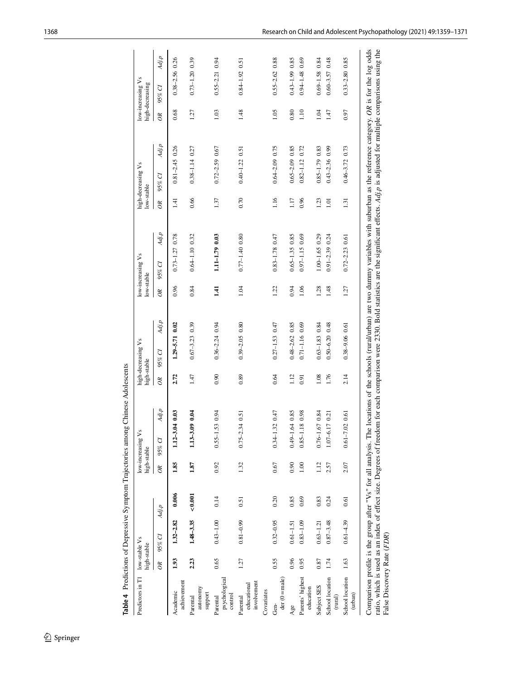| Predictors in T1                                 | low-stable Vs<br>high-stable |               |         | high-stable | low-increasing Vs         |          | high-decreasing Vs<br>high-stable                                                                                                                                                                                                                                                                                                                                                                       | low-stable | low-increasing Vs  | low-stable | high-decreasing Vs   |          | low-increasing Vs<br>high-decreasing |
|--------------------------------------------------|------------------------------|---------------|---------|-------------|---------------------------|----------|---------------------------------------------------------------------------------------------------------------------------------------------------------------------------------------------------------------------------------------------------------------------------------------------------------------------------------------------------------------------------------------------------------|------------|--------------------|------------|----------------------|----------|--------------------------------------|
|                                                  | $\partial$ R                 | 95% CI        | Adj.p   | $\infty$    | Adj.p<br>95% CI           | $\delta$ | Adj.p<br>95% CI                                                                                                                                                                                                                                                                                                                                                                                         | $\infty$   | Adj.p<br>95% CI    | $\delta$   | Adj.p<br>95% CI      | $\infty$ | Adj.p<br>95% CI                      |
| achievement<br>Academic                          | 1.93                         | $1.32 - 2.82$ | 0.006   | 1.85        | 0.03<br>$1.12 - 3$        | 2.72     | $1.29 - 5.71$ 0.02                                                                                                                                                                                                                                                                                                                                                                                      | 0.96       | $0.73 - 1.27$ 0.78 | 141        | $0.81 - 2.45$ 0.26   | 0.68     | $0.38 - 2.56$ 0.26                   |
| autonomy<br>support<br>Parental                  | 2.23                         | $1.48 - 3.35$ | < 0.001 | 1.87        | 0.000<br>$1.13 - 3.$      | 1.47     | $0.67 - 3.23$ 0.39                                                                                                                                                                                                                                                                                                                                                                                      | 0.84       | $0.64 - 1.10$ 0.32 | 0.66       | $0.38 - 1.14$ 0.27   | 1.27     | $0.73 - 1.20$ 0.39                   |
| psychological<br>control<br>Parental             | 0.65                         | $0.43 - 1.00$ | 0.14    | 0.92        | 53 0.94<br>$0.55 - 1$     | 0.90     | $0.36 - 2.24$ 0.94                                                                                                                                                                                                                                                                                                                                                                                      | 1.41       | 1.11-1.79 0.03     | 1.37       | $0.72 - 2.59$ $0.67$ | 1.03     | $0.55 - 2.21$ 0.94                   |
| involvement<br>educational<br>Parental           | 1.27                         | $0.81 - 0.99$ | 0.51    | 1.32        | $.34\;0.51$<br>$0.75 - 2$ | 0.89     | $0.39 - 2.05$ 0.80                                                                                                                                                                                                                                                                                                                                                                                      | 1.04       | $0.77 - 1.40$ 0.80 | 0.70       | $0.40 - 1.22$ 0.51   | 1.48     | $0.84 - 1.92$ 0.51                   |
| Covariates                                       |                              |               |         |             |                           |          |                                                                                                                                                                                                                                                                                                                                                                                                         |            |                    |            |                      |          |                                      |
| $der(0 = male)$<br>Gen-                          | 0.55                         | $0.32 - 0.95$ | 0.20    | 0.67        | .320047<br>$0.34 - 1$     | 0.64     | $0.27 - 1.53$ 0.47                                                                                                                                                                                                                                                                                                                                                                                      | 1.22       | $0.83 - 1.78$ 0.47 | 1.16       | $0.64 - 2.09$ 0.75   | 1.05     | $0.55 - 2.62$ 0.88                   |
| Age                                              | 0.96                         | $0.61 - 1.51$ | 0.85    | 0.90        | .64 0.85<br>$1 - 6 + 0$   | 1.12     | $0.48 - 2.62$ 0.85                                                                                                                                                                                                                                                                                                                                                                                      | 0.94       | $0.65 - 1.35$ 0.85 | 1.17       | $0.65 - 2.09$ 0.85   | 0.80     | $0.43 - 1.990.85$                    |
| Parents' highest<br>education                    | 0.95                         | $0.83 - 1.09$ | 0.69    | 1.00        | 18 0.98<br>$0.85 - 1$     | 0.91     | $0.71 - 1.16$ 0.69                                                                                                                                                                                                                                                                                                                                                                                      | 1.06       | $0.97 - 1.15069$   | 0.96       | $0.82 - 1.12$ $0.72$ | 1.10     | $0.94 - 1.48$ 0.69                   |
| Subject SES                                      | 0.87                         | $0.63 - 1.21$ | 0.83    | 1.12        | .67084<br>$0.76 - 1$      | 1.08     | $0.63 - 1.83$ 0.84                                                                                                                                                                                                                                                                                                                                                                                      | 1.28       | 1.00-1.65 0.29     | 1.23       | $0.85 - 1.79$ 0.83   | 1.04     | $0.69 - 1.58$ 0.84                   |
| School location<br>$\left(\mathrm{rural}\right)$ | 1.74                         | $0.87 - 3.48$ | 0.24    | 2.57        | $1.07 - 6.17$ 0.21        | 1.76     | $0.50 - 6.20$ 0.48                                                                                                                                                                                                                                                                                                                                                                                      | 1.48       | 0.91-2.39 0.24     | 1.01       | $0.43 - 2.36$ 0.99   | 1.47     | $0.60 - 3.57$ 0.48                   |
| School location<br>(urban)                       | 1.63                         | $0.61 - 4.39$ | 0.61    | 2.07        | .02061<br>$0.61 - 7$      | 2.14     | $0.38 - 9.06$ 0.61                                                                                                                                                                                                                                                                                                                                                                                      | 1.27       | $0.72 - 2.23$ 0.61 | 1.31       | $0.46 - 3.72$ 0.73   | 0.97     | $0.33 - 2.80$ 0.85                   |
| False Discovery Rate (FDR)                       |                              |               |         |             |                           |          | ratio, which is used as an index of effect size. Degrees of freedom for each comparison were 2330. Bold statistics are the significant effects. Adj.p is adjusted for multiple comparisons using the<br>Comparison profile is the group after "Vs" for all analysis. The locations of the schools (rural/urban) are two dummy variables with suburban as the reference category. OR is for the log odds |            |                    |            |                      |          |                                      |

<span id="page-9-0"></span>**Table 4** Predictions of Depressive Symptom Trajectories among Chinese Adolescents **Table 4** Predictions of Depressive Symptom Trajectories among Chinese Adolescents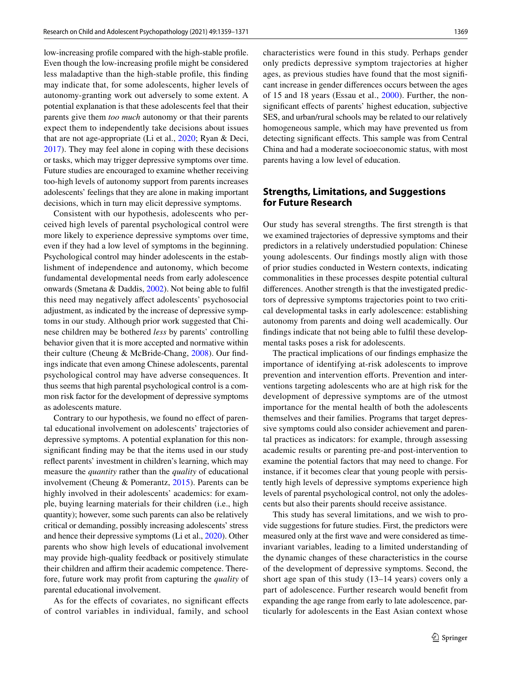low-increasing profle compared with the high-stable profle. Even though the low-increasing profle might be considered less maladaptive than the high-stable profle, this fnding may indicate that, for some adolescents, higher levels of autonomy-granting work out adversely to some extent. A potential explanation is that these adolescents feel that their parents give them *too much* autonomy or that their parents expect them to independently take decisions about issues that are not age-appropriate (Li et al., [2020](#page-11-11); Ryan & Deci, [2017](#page-12-5)). They may feel alone in coping with these decisions or tasks, which may trigger depressive symptoms over time. Future studies are encouraged to examine whether receiving too-high levels of autonomy support from parents increases adolescents' feelings that they are alone in making important decisions, which in turn may elicit depressive symptoms.

Consistent with our hypothesis, adolescents who perceived high levels of parental psychological control were more likely to experience depressive symptoms over time, even if they had a low level of symptoms in the beginning. Psychological control may hinder adolescents in the establishment of independence and autonomy, which become fundamental developmental needs from early adolescence onwards (Smetana & Daddis, [2002](#page-12-18)). Not being able to fulfl this need may negatively affect adolescents' psychosocial adjustment, as indicated by the increase of depressive symptoms in our study. Although prior work suggested that Chinese children may be bothered *less* by parents' controlling behavior given that it is more accepted and normative within their culture (Cheung & McBride-Chang, [2008\)](#page-11-9). Our fndings indicate that even among Chinese adolescents, parental psychological control may have adverse consequences. It thus seems that high parental psychological control is a common risk factor for the development of depressive symptoms as adolescents mature.

Contrary to our hypothesis, we found no effect of parental educational involvement on adolescents' trajectories of depressive symptoms. A potential explanation for this nonsignifcant fnding may be that the items used in our study refect parents' investment in children's learning, which may measure the *quantity* rather than the *quality* of educational involvement (Cheung & Pomerantz,  $2015$ ). Parents can be highly involved in their adolescents' academics: for example, buying learning materials for their children (i.e., high quantity); however, some such parents can also be relatively critical or demanding, possibly increasing adolescents' stress and hence their depressive symptoms (Li et al., [2020](#page-11-11)). Other parents who show high levels of educational involvement may provide high-quality feedback or positively stimulate their children and affirm their academic competence. Therefore, future work may proft from capturing the *quality* of parental educational involvement.

As for the efects of covariates, no signifcant efects of control variables in individual, family, and school characteristics were found in this study. Perhaps gender only predicts depressive symptom trajectories at higher ages, as previous studies have found that the most signifcant increase in gender diferences occurs between the ages of 15 and 18 years (Essau et al., [2000](#page-11-15)). Further, the nonsignifcant efects of parents' highest education, subjective SES, and urban/rural schools may be related to our relatively homogeneous sample, which may have prevented us from detecting signifcant efects. This sample was from Central China and had a moderate socioeconomic status, with most parents having a low level of education.

### **Strengths, Limitations, and Suggestions for Future Research**

Our study has several strengths. The frst strength is that we examined trajectories of depressive symptoms and their predictors in a relatively understudied population: Chinese young adolescents. Our fndings mostly align with those of prior studies conducted in Western contexts, indicating commonalities in these processes despite potential cultural diferences. Another strength is that the investigated predictors of depressive symptoms trajectories point to two critical developmental tasks in early adolescence: establishing autonomy from parents and doing well academically. Our fndings indicate that not being able to fulfl these developmental tasks poses a risk for adolescents.

The practical implications of our fndings emphasize the importance of identifying at-risk adolescents to improve prevention and intervention efforts. Prevention and interventions targeting adolescents who are at high risk for the development of depressive symptoms are of the utmost importance for the mental health of both the adolescents themselves and their families. Programs that target depressive symptoms could also consider achievement and parental practices as indicators: for example, through assessing academic results or parenting pre-and post-intervention to examine the potential factors that may need to change. For instance, if it becomes clear that young people with persistently high levels of depressive symptoms experience high levels of parental psychological control, not only the adolescents but also their parents should receive assistance.

This study has several limitations, and we wish to provide suggestions for future studies. First, the predictors were measured only at the frst wave and were considered as timeinvariant variables, leading to a limited understanding of the dynamic changes of these characteristics in the course of the development of depressive symptoms. Second, the short age span of this study (13–14 years) covers only a part of adolescence. Further research would beneft from expanding the age range from early to late adolescence, particularly for adolescents in the East Asian context whose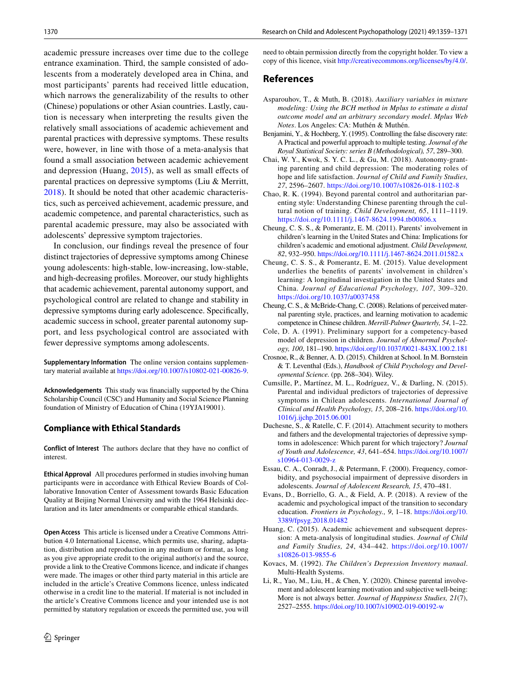academic pressure increases over time due to the college entrance examination. Third, the sample consisted of adolescents from a moderately developed area in China, and most participants' parents had received little education, which narrows the generalizability of the results to other (Chinese) populations or other Asian countries. Lastly, caution is necessary when interpreting the results given the relatively small associations of academic achievement and parental practices with depressive symptoms. These results were, however, in line with those of a meta-analysis that found a small association between academic achievement and depression (Huang, [2015\)](#page-11-5), as well as small efects of parental practices on depressive symptoms (Liu & Merritt, [2018](#page-12-19)). It should be noted that other academic characteristics, such as perceived achievement, academic pressure, and academic competence, and parental characteristics, such as parental academic pressure, may also be associated with adolescents' depressive symptom trajectories.

In conclusion, our fndings reveal the presence of four distinct trajectories of depressive symptoms among Chinese young adolescents: high-stable, low-increasing, low-stable, and high-decreasing profles. Moreover, our study highlights that academic achievement, parental autonomy support, and psychological control are related to change and stability in depressive symptoms during early adolescence. Specifcally, academic success in school, greater parental autonomy support, and less psychological control are associated with fewer depressive symptoms among adolescents.

**Supplementary Information** The online version contains supplementary material available at<https://doi.org/10.1007/s10802-021-00826-9>.

**Acknowledgements** This study was fnancially supported by the China Scholarship Council (CSC) and Humanity and Social Science Planning foundation of Ministry of Education of China (19YJA19001).

#### **Compliance with Ethical Standards**

**Conflict of Interest** The authors declare that they have no confict of interest.

**Ethical Approval** All procedures performed in studies involving human participants were in accordance with Ethical Review Boards of Collaborative Innovation Center of Assessment towards Basic Education Quality at Beijing Normal University and with the 1964 Helsinki declaration and its later amendments or comparable ethical standards.

**Open Access** This article is licensed under a Creative Commons Attribution 4.0 International License, which permits use, sharing, adaptation, distribution and reproduction in any medium or format, as long as you give appropriate credit to the original author(s) and the source, provide a link to the Creative Commons licence, and indicate if changes were made. The images or other third party material in this article are included in the article's Creative Commons licence, unless indicated otherwise in a credit line to the material. If material is not included in the article's Creative Commons licence and your intended use is not permitted by statutory regulation or exceeds the permitted use, you will need to obtain permission directly from the copyright holder. To view a copy of this licence, visit<http://creativecommons.org/licenses/by/4.0/>.

#### **References**

- <span id="page-11-13"></span>Asparouhov, T., & Muth, B. (2018). *Auxiliary variables in mixture modeling: Using the BCH method in Mplus to estimate a distal outcome model and an arbitrary secondary model*. *Mplus Web Notes*. Los Angeles: CA: Muthén & Muthén.
- <span id="page-11-14"></span>Benjamini, Y., & Hochberg, Y. (1995). Controlling the false discovery rate: A Practical and powerful approach to multiple testing. *Journal of the Royal Statistical Society: series B (Methodological), 57*, 289–300.
- <span id="page-11-3"></span>Chai, W. Y., Kwok, S. Y. C. L., & Gu, M. (2018). Autonomy-granting parenting and child depression: The moderating roles of hope and life satisfaction. *Journal of Child and Family Studies, 27*, 2596–2607. <https://doi.org/10.1007/s10826-018-1102-8>
- <span id="page-11-7"></span>Chao, R. K. (1994). Beyond parental control and authoritarian parenting style: Understanding Chinese parenting through the cultural notion of training. *Child Development, 65*, 1111–1119. <https://doi.org/10.1111/j.1467-8624.1994.tb00806.x>
- <span id="page-11-6"></span>Cheung, C. S. S., & Pomerantz, E. M. (2011). Parents' involvement in children's learning in the United States and China: Implications for children's academic and emotional adjustment. *Child Development, 82*, 932–950. <https://doi.org/10.1111/j.1467-8624.2011.01582.x>
- <span id="page-11-10"></span>Cheung, C. S. S., & Pomerantz, E. M. (2015). Value development underlies the benefts of parents' involvement in children's learning: A longitudinal investigation in the United States and China. *Journal of Educational Psychology, 107*, 309–320. <https://doi.org/10.1037/a0037458>
- <span id="page-11-9"></span>Cheung, C. S., & McBride-Chang, C. (2008). Relations of perceived maternal parenting style, practices, and learning motivation to academic competence in Chinese children. *Merrill-Palmer Quarterly, 54*, 1–22.
- <span id="page-11-8"></span>Cole, D. A. (1991). Preliminary support for a competency-based model of depression in children. *Journal of Abnormal Psychology, 100*, 181–190.<https://doi.org/10.1037/0021-843X.100.2.181>
- <span id="page-11-2"></span>Crosnoe, R., & Benner, A. D. (2015). Children at School. In M. Bornstein & T. Leventhal (Eds.), *Handbook of Child Psychology and Developmental Science.* (pp. 268–304). Wiley.
- <span id="page-11-1"></span>Cumsille, P., Martínez, M. L., Rodríguez, V., & Darling, N. (2015). Parental and individual predictors of trajectories of depressive symptoms in Chilean adolescents. *International Journal of Clinical and Health Psychology, 15*, 208–216. [https://doi.org/10.](https://doi.org/10.1016/j.ijchp.2015.06.001) [1016/j.ijchp.2015.06.001](https://doi.org/10.1016/j.ijchp.2015.06.001)
- <span id="page-11-0"></span>Duchesne, S., & Ratelle, C. F. (2014). Attachment security to mothers and fathers and the developmental trajectories of depressive symptoms in adolescence: Which parent for which trajectory? *Journal of Youth and Adolescence, 43*, 641–654. [https://doi.org/10.1007/](https://doi.org/10.1007/s10964-013-0029-z) [s10964-013-0029-z](https://doi.org/10.1007/s10964-013-0029-z)
- <span id="page-11-15"></span>Essau, C. A., Conradt, J., & Petermann, F. (2000). Frequency, comorbidity, and psychosocial impairment of depressive disorders in adolescents. *Journal of Adolescent Research, 15*, 470–481.
- <span id="page-11-4"></span>Evans, D., Borriello, G. A., & Field, A. P. (2018). A review of the academic and psychological impact of the transition to secondary education. *Frontiers in Psychology., 9*, 1–18. [https://doi.org/10.](https://doi.org/10.3389/fpsyg.2018.01482) [3389/fpsyg.2018.01482](https://doi.org/10.3389/fpsyg.2018.01482)
- <span id="page-11-5"></span>Huang, C. (2015). Academic achievement and subsequent depression: A meta-analysis of longitudinal studies. *Journal of Child and Family Studies, 24*, 434–442. [https://doi.org/10.1007/](https://doi.org/10.1007/s10826-013-9855-6) [s10826-013-9855-6](https://doi.org/10.1007/s10826-013-9855-6)
- <span id="page-11-12"></span>Kovacs, M. (1992). *The Children's Depression Inventory manual*. Multi-Health Systems.
- <span id="page-11-11"></span>Li, R., Yao, M., Liu, H., & Chen, Y. (2020). Chinese parental involvement and adolescent learning motivation and subjective well-being: More is not always better. *Journal of Happiness Studies, 21*(7), 2527–2555.<https://doi.org/10.1007/s10902-019-00192-w>